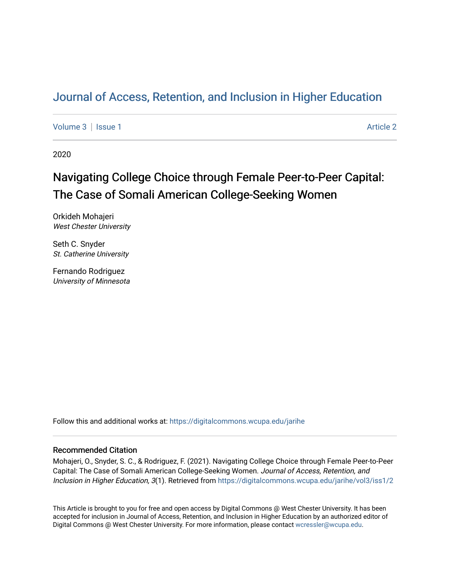## [Journal of Access, Retention, and Inclusion in Higher Education](https://digitalcommons.wcupa.edu/jarihe)

[Volume 3](https://digitalcommons.wcupa.edu/jarihe/vol3) | [Issue 1](https://digitalcommons.wcupa.edu/jarihe/vol3/iss1) Article 2

2020

# Navigating College Choice through Female Peer-to-Peer Capital: The Case of Somali American College-Seeking Women

Orkideh Mohajeri West Chester University

Seth C. Snyder St. Catherine University

Fernando Rodriguez University of Minnesota

Follow this and additional works at: [https://digitalcommons.wcupa.edu/jarihe](https://digitalcommons.wcupa.edu/jarihe?utm_source=digitalcommons.wcupa.edu%2Fjarihe%2Fvol3%2Fiss1%2F2&utm_medium=PDF&utm_campaign=PDFCoverPages) 

## Recommended Citation

Mohajeri, O., Snyder, S. C., & Rodriguez, F. (2021). Navigating College Choice through Female Peer-to-Peer Capital: The Case of Somali American College-Seeking Women. Journal of Access, Retention, and Inclusion in Higher Education, 3(1). Retrieved from [https://digitalcommons.wcupa.edu/jarihe/vol3/iss1/2](https://digitalcommons.wcupa.edu/jarihe/vol3/iss1/2?utm_source=digitalcommons.wcupa.edu%2Fjarihe%2Fvol3%2Fiss1%2F2&utm_medium=PDF&utm_campaign=PDFCoverPages) 

This Article is brought to you for free and open access by Digital Commons @ West Chester University. It has been accepted for inclusion in Journal of Access, Retention, and Inclusion in Higher Education by an authorized editor of Digital Commons @ West Chester University. For more information, please contact [wcressler@wcupa.edu](mailto:wcressler@wcupa.edu).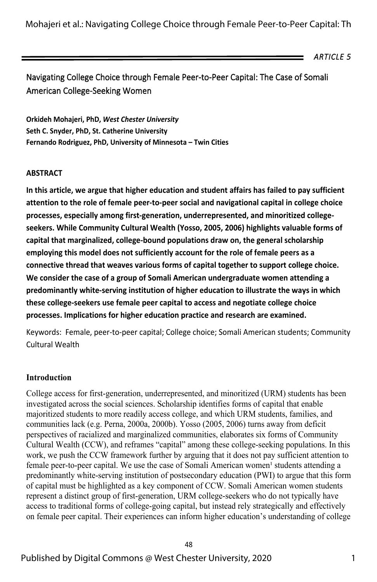Mohajeri et al.: Navigating College Choice through Female Peer-to-Peer Capital: Th

*ARTICLE 5* 

## Navigating College Choice through Female Peer-to-Peer Capital: The Case of Somali American College-Seeking Women

**Orkideh Mohajeri, PhD,** *West Chester University* **Seth C. Snyder, PhD, St. Catherine University Fernando Rodriguez, PhD, University of Minnesota – Twin Cities**

#### **ABSTRACT**

**In this article, we argue that higher education and student affairs has failed to pay sufficient attention to the role of female peer-to-peer social and navigational capital in college choice processes, especially among first-generation, underrepresented, and minoritized collegeseekers. While Community Cultural Wealth (Yosso, 2005, 2006) highlights valuable forms of capital that marginalized, college-bound populations draw on, the general scholarship employing this model does not sufficiently account for the role of female peers as a connective thread that weaves various forms of capital together to support college choice. We consider the case of a group of Somali American undergraduate women attending a predominantly white-serving institution of higher education to illustrate the ways in which these college-seekers use female peer capital to access and negotiate college choice processes. Implications for higher education practice and research are examined.** 

Keywords: Female, peer-to-peer capital; College choice; Somali American students; Community Cultural Wealth

#### **Introduction**

College access for first-generation, underrepresented, and minoritized (URM) students has been investigated across the social sciences. Scholarship identifies forms of capital that enable majoritized students to more readily access college, and which URM students, families, and communities lack (e.g. Perna, 2000a, 2000b). Yosso (2005, 2006) turns away from deficit perspectives of racialized and marginalized communities, elaborates six forms of Community Cultural Wealth (CCW), and reframes "capital" among these college-seeking populations. In this work, we push the CCW framework further by arguing that it does not pay sufficient attention to female peer-to-peer capital. We use the case of Somali American women<sup>1</sup> students attending a predominantly white-serving institution of postsecondary education (PWI) to argue that this form of capital must be highlighted as a key component of CCW. Somali American women students represent a distinct group of first-generation, URM college-seekers who do not typically have access to traditional forms of college-going capital, but instead rely strategically and effectively on female peer capital. Their experiences can inform higher education's understanding of college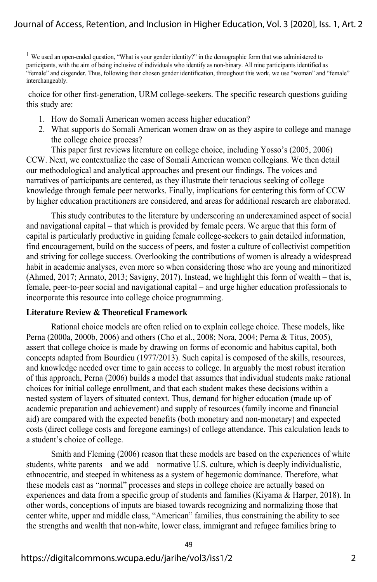<sup>1</sup> We used an open-ended question, "What is your gender identity?" in the demographic form that was administered to participants, with the aim of being inclusive of individuals who identify as non-binary. All nine participants identified as "female" and cisgender. Thus, following their chosen gender identification, throughout this work, we use "woman" and "female" interchangeably.

 choice for other first-generation, URM college-seekers. The specific research questions guiding this study are:

- 1. How do Somali American women access higher education?
- 2. What supports do Somali American women draw on as they aspire to college and manage the college choice process?

This paper first reviews literature on college choice, including Yosso's (2005, 2006) CCW. Next, we contextualize the case of Somali American women collegians. We then detail our methodological and analytical approaches and present our findings. The voices and narratives of participants are centered, as they illustrate their tenacious seeking of college knowledge through female peer networks. Finally, implications for centering this form of CCW by higher education practitioners are considered, and areas for additional research are elaborated.

This study contributes to the literature by underscoring an underexamined aspect of social and navigational capital – that which is provided by female peers. We argue that this form of capital is particularly productive in guiding female college-seekers to gain detailed information, find encouragement, build on the success of peers, and foster a culture of collectivist competition and striving for college success. Overlooking the contributions of women is already a widespread habit in academic analyses, even more so when considering those who are young and minoritized (Ahmed, 2017; Armato, 2013; Savigny, 2017). Instead, we highlight this form of wealth – that is, female, peer-to-peer social and navigational capital – and urge higher education professionals to incorporate this resource into college choice programming.

#### **Literature Review & Theoretical Framework**

Rational choice models are often relied on to explain college choice. These models, like Perna (2000a, 2000b, 2006) and others (Cho et al., 2008; Nora, 2004; Perna & Titus, 2005), assert that college choice is made by drawing on forms of economic and habitus capital, both concepts adapted from Bourdieu (1977/2013). Such capital is composed of the skills, resources, and knowledge needed over time to gain access to college. In arguably the most robust iteration of this approach, Perna (2006) builds a model that assumes that individual students make rational choices for initial college enrollment, and that each student makes these decisions within a nested system of layers of situated context. Thus, demand for higher education (made up of academic preparation and achievement) and supply of resources (family income and financial aid) are compared with the expected benefits (both monetary and non-monetary) and expected costs (direct college costs and foregone earnings) of college attendance. This calculation leads to a student's choice of college.

Smith and Fleming (2006) reason that these models are based on the experiences of white students, white parents – and we add – normative U.S. culture, which is deeply individualistic, ethnocentric, and steeped in whiteness as a system of hegemonic dominance. Therefore, what these models cast as "normal" processes and steps in college choice are actually based on experiences and data from a specific group of students and families (Kiyama & Harper, 2018). In other words, conceptions of inputs are biased towards recognizing and normalizing those that center white, upper and middle class, "American" families, thus constraining the ability to see the strengths and wealth that non-white, lower class, immigrant and refugee families bring to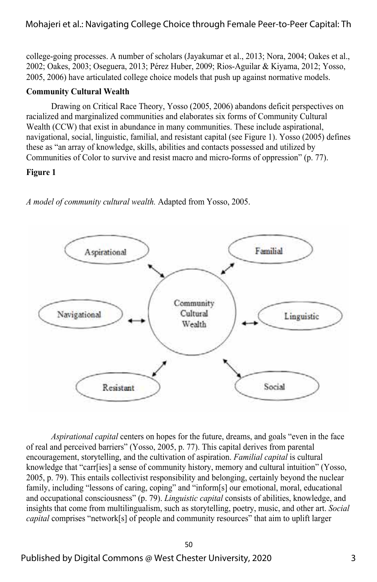## Mohajeri et al.: Navigating College Choice through Female Peer-to-Peer Capital: Th

college-going processes. A number of scholars (Jayakumar et al., 2013; Nora, 2004; Oakes et al., 2002; Oakes, 2003; Oseguera, 2013; Pérez Huber, 2009; Rios-Aguilar & Kiyama, 2012; Yosso, 2005, 2006) have articulated college choice models that push up against normative models.

#### **Community Cultural Wealth**

Drawing on Critical Race Theory, Yosso (2005, 2006) abandons deficit perspectives on racialized and marginalized communities and elaborates six forms of Community Cultural Wealth (CCW) that exist in abundance in many communities. These include aspirational, navigational, social, linguistic, familial, and resistant capital (see Figure 1). Yosso (2005) defines these as "an array of knowledge, skills, abilities and contacts possessed and utilized by Communities of Color to survive and resist macro and micro-forms of oppression" (p. 77).

#### **Figure 1**



*A model of community cultural wealth.* Adapted from Yosso, 2005.

*Aspirational capital* centers on hopes for the future, dreams, and goals "even in the face of real and perceived barriers" (Yosso, 2005, p. 77). This capital derives from parental encouragement, storytelling, and the cultivation of aspiration. *Familial capital* is cultural knowledge that "carr[ies] a sense of community history, memory and cultural intuition" (Yosso, 2005, p. 79). This entails collectivist responsibility and belonging, certainly beyond the nuclear family, including "lessons of caring, coping" and "inform[s] our emotional, moral, educational and occupational consciousness" (p. 79). *Linguistic capital* consists of abilities, knowledge, and insights that come from multilingualism, such as storytelling, poetry, music, and other art. *Social capital* comprises "network[s] of people and community resources" that aim to uplift larger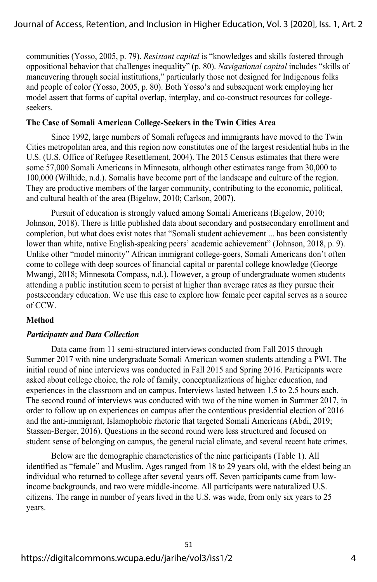communities (Yosso, 2005, p. 79). *Resistant capital* is "knowledges and skills fostered through oppositional behavior that challenges inequality" (p. 80). *Navigational capital* includes "skills of maneuvering through social institutions," particularly those not designed for Indigenous folks and people of color (Yosso, 2005, p. 80). Both Yosso's and subsequent work employing her model assert that forms of capital overlap, interplay, and co-construct resources for collegeseekers.

#### **The Case of Somali American College-Seekers in the Twin Cities Area**

Since 1992, large numbers of Somali refugees and immigrants have moved to the Twin Cities metropolitan area, and this region now constitutes one of the largest residential hubs in the U.S. (U.S. Office of Refugee Resettlement, 2004). The 2015 Census estimates that there were some 57,000 Somali Americans in Minnesota, although other estimates range from 30,000 to 100,000 (Wilhide, n.d.). Somalis have become part of the landscape and culture of the region. They are productive members of the larger community, contributing to the economic, political, and cultural health of the area (Bigelow, 2010; Carlson, 2007).

Pursuit of education is strongly valued among Somali Americans (Bigelow, 2010; Johnson, 2018). There is little published data about secondary and postsecondary enrollment and completion, but what does exist notes that "Somali student achievement ... has been consistently lower than white, native English-speaking peers' academic achievement" (Johnson, 2018, p. 9). Unlike other "model minority" African immigrant college-goers, Somali Americans don't often come to college with deep sources of financial capital or parental college knowledge (George Mwangi, 2018; Minnesota Compass, n.d.). However, a group of undergraduate women students attending a public institution seem to persist at higher than average rates as they pursue their postsecondary education. We use this case to explore how female peer capital serves as a source of CCW.

#### **Method**

#### *Participants and Data Collection*

Data came from 11 semi-structured interviews conducted from Fall 2015 through Summer 2017 with nine undergraduate Somali American women students attending a PWI. The initial round of nine interviews was conducted in Fall 2015 and Spring 2016. Participants were asked about college choice, the role of family, conceptualizations of higher education, and experiences in the classroom and on campus. Interviews lasted between 1.5 to 2.5 hours each. The second round of interviews was conducted with two of the nine women in Summer 2017, in order to follow up on experiences on campus after the contentious presidential election of 2016 and the anti-immigrant, Islamophobic rhetoric that targeted Somali Americans (Abdi, 2019; Stassen-Berger, 2016). Questions in the second round were less structured and focused on student sense of belonging on campus, the general racial climate, and several recent hate crimes.

Below are the demographic characteristics of the nine participants (Table 1). All identified as "female" and Muslim. Ages ranged from 18 to 29 years old, with the eldest being an individual who returned to college after several years off. Seven participants came from lowincome backgrounds, and two were middle-income. All participants were naturalized U.S. citizens. The range in number of years lived in the U.S. was wide, from only six years to 25 years.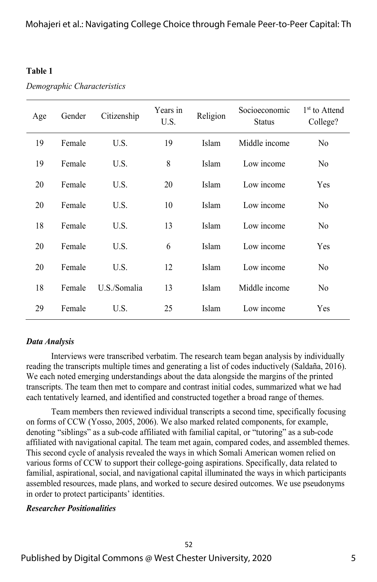### **Table 1**

| Demographic Characteristics |  |
|-----------------------------|--|
|-----------------------------|--|

| Age | Gender | Citizenship  | Years in<br>U.S. | Religion | Socioeconomic<br><b>Status</b> | 1 <sup>st</sup> to Attend<br>College? |
|-----|--------|--------------|------------------|----------|--------------------------------|---------------------------------------|
| 19  | Female | U.S.         | 19               | Islam    | Middle income                  | No                                    |
| 19  | Female | U.S.         | 8                | Islam    | Low income                     | N <sub>0</sub>                        |
| 20  | Female | U.S.         | 20               | Islam    | Low income                     | Yes                                   |
| 20  | Female | U.S.         | 10               | Islam    | Low income                     | N <sub>0</sub>                        |
| 18  | Female | U.S.         | 13               | Islam    | Low income                     | No                                    |
| 20  | Female | U.S.         | 6                | Islam    | Low income                     | Yes                                   |
| 20  | Female | U.S.         | 12               | Islam    | Low income                     | No                                    |
| 18  | Female | U.S./Somalia | 13               | Islam    | Middle income                  | N <sub>0</sub>                        |
| 29  | Female | U.S.         | 25               | Islam    | Low income                     | Yes                                   |

## *Data Analysis*

Interviews were transcribed verbatim. The research team began analysis by individually reading the transcripts multiple times and generating a list of codes inductively (Saldaña, 2016). We each noted emerging understandings about the data alongside the margins of the printed transcripts. The team then met to compare and contrast initial codes, summarized what we had each tentatively learned, and identified and constructed together a broad range of themes.

Team members then reviewed individual transcripts a second time, specifically focusing on forms of CCW (Yosso, 2005, 2006). We also marked related components, for example, denoting "siblings" as a sub-code affiliated with familial capital, or "tutoring" as a sub-code affiliated with navigational capital. The team met again, compared codes, and assembled themes. This second cycle of analysis revealed the ways in which Somali American women relied on various forms of CCW to support their college-going aspirations. Specifically, data related to familial, aspirational, social, and navigational capital illuminated the ways in which participants assembled resources, made plans, and worked to secure desired outcomes. We use pseudonyms in order to protect participants' identities.

## *Researcher Positionalities*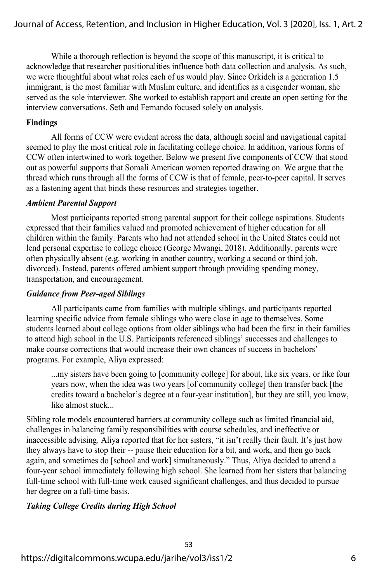While a thorough reflection is beyond the scope of this manuscript, it is critical to acknowledge that researcher positionalities influence both data collection and analysis. As such, we were thoughtful about what roles each of us would play. Since Orkideh is a generation 1.5 immigrant, is the most familiar with Muslim culture, and identifies as a cisgender woman, she served as the sole interviewer. She worked to establish rapport and create an open setting for the interview conversations. Seth and Fernando focused solely on analysis.

## **Findings**

All forms of CCW were evident across the data, although social and navigational capital seemed to play the most critical role in facilitating college choice. In addition, various forms of CCW often intertwined to work together. Below we present five components of CCW that stood out as powerful supports that Somali American women reported drawing on. We argue that the thread which runs through all the forms of CCW is that of female, peer-to-peer capital. It serves as a fastening agent that binds these resources and strategies together.

## *Ambient Parental Support*

Most participants reported strong parental support for their college aspirations. Students expressed that their families valued and promoted achievement of higher education for all children within the family. Parents who had not attended school in the United States could not lend personal expertise to college choice (George Mwangi, 2018). Additionally, parents were often physically absent (e.g. working in another country, working a second or third job, divorced). Instead, parents offered ambient support through providing spending money, transportation, and encouragement.

## *Guidance from Peer-aged Siblings*

All participants came from families with multiple siblings, and participants reported learning specific advice from female siblings who were close in age to themselves. Some students learned about college options from older siblings who had been the first in their families to attend high school in the U.S. Participants referenced siblings' successes and challenges to make course corrections that would increase their own chances of success in bachelors' programs. For example, Aliya expressed:

...my sisters have been going to [community college] for about, like six years, or like four years now, when the idea was two years [of community college] then transfer back [the credits toward a bachelor's degree at a four-year institution], but they are still, you know, like almost stuck...

Sibling role models encountered barriers at community college such as limited financial aid, challenges in balancing family responsibilities with course schedules, and ineffective or inaccessible advising. Aliya reported that for her sisters, "it isn't really their fault. It's just how they always have to stop their -- pause their education for a bit, and work, and then go back again, and sometimes do [school and work] simultaneously." Thus, Aliya decided to attend a four-year school immediately following high school. She learned from her sisters that balancing full-time school with full-time work caused significant challenges, and thus decided to pursue her degree on a full-time basis.

## *Taking College Credits during High School*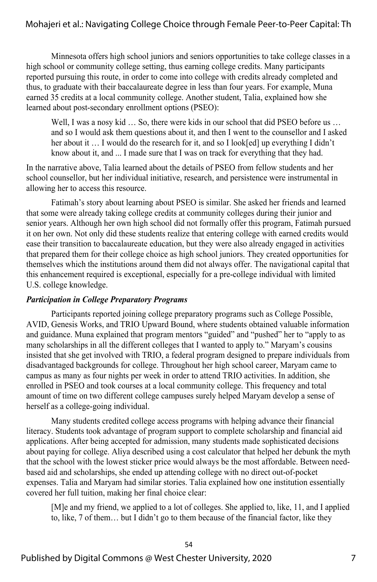## Mohajeri et al.: Navigating College Choice through Female Peer-to-Peer Capital: Th

Minnesota offers high school juniors and seniors opportunities to take college classes in a high school or community college setting, thus earning college credits. Many participants reported pursuing this route, in order to come into college with credits already completed and thus, to graduate with their baccalaureate degree in less than four years. For example, Muna earned 35 credits at a local community college. Another student, Talia, explained how she learned about post-secondary enrollment options (PSEO):

Well, I was a nosy kid ... So, there were kids in our school that did PSEO before us ... and so I would ask them questions about it, and then I went to the counsellor and I asked her about it … I would do the research for it, and so I look[ed] up everything I didn't know about it, and ... I made sure that I was on track for everything that they had.

In the narrative above, Talia learned about the details of PSEO from fellow students and her school counsellor, but her individual initiative, research, and persistence were instrumental in allowing her to access this resource.

Fatimah's story about learning about PSEO is similar. She asked her friends and learned that some were already taking college credits at community colleges during their junior and senior years. Although her own high school did not formally offer this program, Fatimah pursued it on her own. Not only did these students realize that entering college with earned credits would ease their transition to baccalaureate education, but they were also already engaged in activities that prepared them for their college choice as high school juniors. They created opportunities for themselves which the institutions around them did not always offer. The navigational capital that this enhancement required is exceptional, especially for a pre-college individual with limited U.S. college knowledge.

#### *Participation in College Preparatory Programs*

Participants reported joining college preparatory programs such as College Possible, AVID, Genesis Works, and TRIO Upward Bound, where students obtained valuable information and guidance. Muna explained that program mentors "guided" and "pushed" her to "apply to as many scholarships in all the different colleges that I wanted to apply to." Maryam's cousins insisted that she get involved with TRIO, a federal program designed to prepare individuals from disadvantaged backgrounds for college. Throughout her high school career, Maryam came to campus as many as four nights per week in order to attend TRIO activities. In addition, she enrolled in PSEO and took courses at a local community college. This frequency and total amount of time on two different college campuses surely helped Maryam develop a sense of herself as a college-going individual.

Many students credited college access programs with helping advance their financial literacy. Students took advantage of program support to complete scholarship and financial aid applications. After being accepted for admission, many students made sophisticated decisions about paying for college. Aliya described using a cost calculator that helped her debunk the myth that the school with the lowest sticker price would always be the most affordable. Between needbased aid and scholarships, she ended up attending college with no direct out-of-pocket expenses. Talia and Maryam had similar stories. Talia explained how one institution essentially covered her full tuition, making her final choice clear:

[M]e and my friend, we applied to a lot of colleges. She applied to, like, 11, and I applied to, like, 7 of them… but I didn't go to them because of the financial factor, like they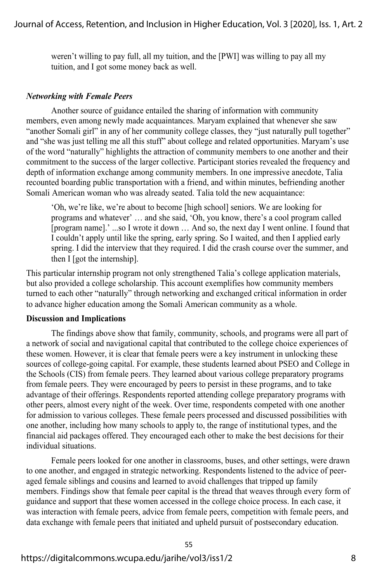weren't willing to pay full, all my tuition, and the [PWI] was willing to pay all my tuition, and I got some money back as well.

#### *Networking with Female Peers*

Another source of guidance entailed the sharing of information with community members, even among newly made acquaintances. Maryam explained that whenever she saw "another Somali girl" in any of her community college classes, they "just naturally pull together" and "she was just telling me all this stuff" about college and related opportunities. Maryam's use of the word "naturally" highlights the attraction of community members to one another and their commitment to the success of the larger collective. Participant stories revealed the frequency and depth of information exchange among community members. In one impressive anecdote, Talia recounted boarding public transportation with a friend, and within minutes, befriending another Somali American woman who was already seated. Talia told the new acquaintance:

'Oh, we're like, we're about to become [high school] seniors. We are looking for programs and whatever' … and she said, 'Oh, you know, there's a cool program called [program name].' ...so I wrote it down … And so, the next day I went online. I found that I couldn't apply until like the spring, early spring. So I waited, and then I applied early spring. I did the interview that they required. I did the crash course over the summer, and then I [got the internship].

This particular internship program not only strengthened Talia's college application materials, but also provided a college scholarship. This account exemplifies how community members turned to each other "naturally" through networking and exchanged critical information in order to advance higher education among the Somali American community as a whole.

#### **Discussion and Implications**

The findings above show that family, community, schools, and programs were all part of a network of social and navigational capital that contributed to the college choice experiences of these women. However, it is clear that female peers were a key instrument in unlocking these sources of college-going capital. For example, these students learned about PSEO and College in the Schools (CIS) from female peers. They learned about various college preparatory programs from female peers. They were encouraged by peers to persist in these programs, and to take advantage of their offerings. Respondents reported attending college preparatory programs with other peers, almost every night of the week. Over time, respondents competed with one another for admission to various colleges. These female peers processed and discussed possibilities with one another, including how many schools to apply to, the range of institutional types, and the financial aid packages offered. They encouraged each other to make the best decisions for their individual situations.

Female peers looked for one another in classrooms, buses, and other settings, were drawn to one another, and engaged in strategic networking. Respondents listened to the advice of peeraged female siblings and cousins and learned to avoid challenges that tripped up family members. Findings show that female peer capital is the thread that weaves through every form of guidance and support that these women accessed in the college choice process. In each case, it was interaction with female peers, advice from female peers, competition with female peers, and data exchange with female peers that initiated and upheld pursuit of postsecondary education.

55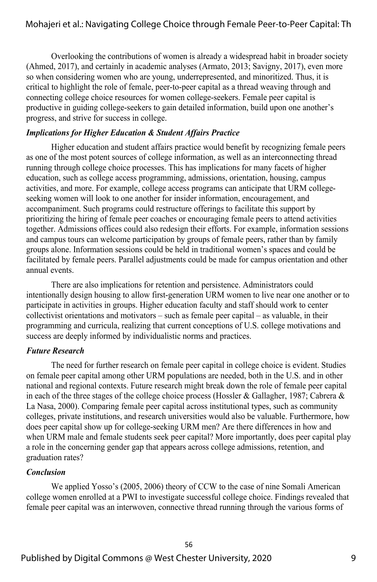Overlooking the contributions of women is already a widespread habit in broader society (Ahmed, 2017), and certainly in academic analyses (Armato, 2013; Savigny, 2017), even more so when considering women who are young, underrepresented, and minoritized. Thus, it is critical to highlight the role of female, peer-to-peer capital as a thread weaving through and connecting college choice resources for women college-seekers. Female peer capital is productive in guiding college-seekers to gain detailed information, build upon one another's progress, and strive for success in college.

## *Implications for Higher Education & Student Affairs Practice*

Higher education and student affairs practice would benefit by recognizing female peers as one of the most potent sources of college information, as well as an interconnecting thread running through college choice processes. This has implications for many facets of higher education, such as college access programming, admissions, orientation, housing, campus activities, and more. For example, college access programs can anticipate that URM collegeseeking women will look to one another for insider information, encouragement, and accompaniment. Such programs could restructure offerings to facilitate this support by prioritizing the hiring of female peer coaches or encouraging female peers to attend activities together. Admissions offices could also redesign their efforts. For example, information sessions and campus tours can welcome participation by groups of female peers, rather than by family groups alone. Information sessions could be held in traditional women's spaces and could be facilitated by female peers. Parallel adjustments could be made for campus orientation and other annual events.

There are also implications for retention and persistence. Administrators could intentionally design housing to allow first-generation URM women to live near one another or to participate in activities in groups. Higher education faculty and staff should work to center collectivist orientations and motivators – such as female peer capital – as valuable, in their programming and curricula, realizing that current conceptions of U.S. college motivations and success are deeply informed by individualistic norms and practices.

#### *Future Research*

The need for further research on female peer capital in college choice is evident. Studies on female peer capital among other URM populations are needed, both in the U.S. and in other national and regional contexts. Future research might break down the role of female peer capital in each of the three stages of the college choice process (Hossler & Gallagher, 1987; Cabrera & La Nasa, 2000). Comparing female peer capital across institutional types, such as community colleges, private institutions, and research universities would also be valuable. Furthermore, how does peer capital show up for college-seeking URM men? Are there differences in how and when URM male and female students seek peer capital? More importantly, does peer capital play a role in the concerning gender gap that appears across college admissions, retention, and graduation rates?

## *Conclusion*

We applied Yosso's (2005, 2006) theory of CCW to the case of nine Somali American college women enrolled at a PWI to investigate successful college choice. Findings revealed that female peer capital was an interwoven, connective thread running through the various forms of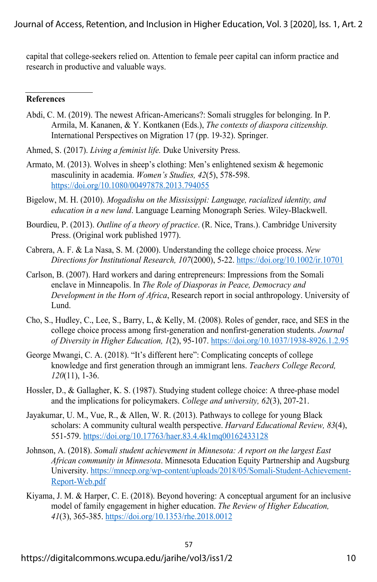capital that college-seekers relied on. Attention to female peer capital can inform practice and research in productive and valuable ways.

#### **References**

- Abdi, C. M. (2019). The newest African-Americans?: Somali struggles for belonging. In P. Armila, M. Kananen, & Y. Kontkanen (Eds.), *The contexts of diaspora citizenship.* International Perspectives on Migration 17 (pp. 19-32). Springer.
- Ahmed, S. (2017). *Living a feminist life.* Duke University Press.
- Armato, M. (2013). Wolves in sheep's clothing: Men's enlightened sexism & hegemonic masculinity in academia. *Women's Studies, 42*(5), 578-598. https://doi.org/10.1080/00497878.2013.794055
- Bigelow, M. H. (2010). *Mogadishu on the Mississippi: Language, racialized identity, and education in a new land*. Language Learning Monograph Series. Wiley-Blackwell.
- Bourdieu, P. (2013). *Outline of a theory of practice*. (R. Nice, Trans.). Cambridge University Press. (Original work published 1977).
- Cabrera, A. F. & La Nasa, S. M. (2000). Understanding the college choice process. *New Directions for Institutional Research, 107*(2000), 5-22. https://doi.org/10.1002/ir.10701
- Carlson, B. (2007). Hard workers and daring entrepreneurs: Impressions from the Somali enclave in Minneapolis. In *The Role of Diasporas in Peace, Democracy and Development in the Horn of Africa*, Research report in social anthropology. University of Lund.
- Cho, S., Hudley, C., Lee, S., Barry, L, & Kelly, M. (2008). Roles of gender, race, and SES in the college choice process among first-generation and nonfirst-generation students. *Journal of Diversity in Higher Education, 1*(2), 95-107. https://doi.org/10.1037/1938-8926.1.2.95
- George Mwangi, C. A. (2018). "It's different here": Complicating concepts of college knowledge and first generation through an immigrant lens. *Teachers College Record, 120*(11), 1-36.
- Hossler, D., & Gallagher, K. S. (1987). Studying student college choice: A three-phase model and the implications for policymakers. *College and university, 62*(3), 207-21.
- Jayakumar, U. M., Vue, R., & Allen, W. R. (2013). Pathways to college for young Black scholars: A community cultural wealth perspective. *Harvard Educational Review, 83*(4), 551-579. https://doi.org/10.17763/haer.83.4.4k1mq00162433128
- Johnson, A. (2018). *Somali student achievement in Minnesota: A report on the largest East African community in Minnesota*. Minnesota Education Equity Partnership and Augsburg University. https://mneep.org/wp-content/uploads/2018/05/Somali-Student-Achievement-Report-Web.pdf
- Kiyama, J. M. & Harper, C. E. (2018). Beyond hovering: A conceptual argument for an inclusive model of family engagement in higher education. *The Review of Higher Education, 41*(3), 365-385. https://doi.org/10.1353/rhe.2018.0012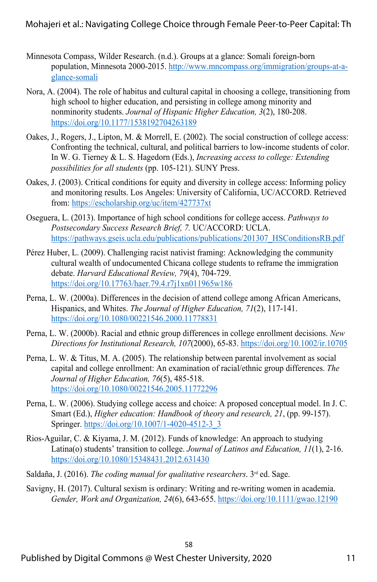- Minnesota Compass, Wilder Research. (n.d.). Groups at a glance: Somali foreign-born population, Minnesota 2000-2015. http://www.mncompass.org/immigration/groups-at-aglance-somali
- Nora, A. (2004). The role of habitus and cultural capital in choosing a college, transitioning from high school to higher education, and persisting in college among minority and nonminority students. *Journal of Hispanic Higher Education, 3*(2), 180-208. https://doi.org/10.1177/1538192704263189
- Oakes, J., Rogers, J., Lipton, M. & Morrell, E. (2002). The social construction of college access: Confronting the technical, cultural, and political barriers to low-income students of color. In W. G. Tierney & L. S. Hagedorn (Eds.), *Increasing access to college: Extending possibilities for all students* (pp. 105-121). SUNY Press.
- Oakes, J. (2003). Critical conditions for equity and diversity in college access: Informing policy and monitoring results. Los Angeles: University of California, UC/ACCORD. Retrieved from: https://escholarship.org/uc/item/427737xt
- Oseguera, L. (2013). Importance of high school conditions for college access. *Pathways to Postsecondary Success Research Brief, 7.* UC/ACCORD: UCLA. https://pathways.gseis.ucla.edu/publications/publications/201307\_HSConditionsRB.pdf
- Pérez Huber, L. (2009). Challenging racist nativist framing: Acknowledging the community cultural wealth of undocumented Chicana college students to reframe the immigration debate. *Harvard Educational Review, 79*(4), 704-729. https://doi.org/10.17763/haer.79.4.r7j1xn011965w186
- Perna, L. W. (2000a). Differences in the decision of attend college among African Americans, Hispanics, and Whites. *The Journal of Higher Education, 71*(2), 117-141. https://doi.org/10.1080/00221546.2000.11778831
- Perna, L. W. (2000b). Racial and ethnic group differences in college enrollment decisions. *New Directions for Institutional Research, 107*(2000), 65-83. https://doi.org/10.1002/ir.10705
- Perna, L. W. & Titus, M. A. (2005). The relationship between parental involvement as social capital and college enrollment: An examination of racial/ethnic group differences. *The Journal of Higher Education, 76*(5), 485-518. https://doi.org/10.1080/00221546.2005.11772296
- Perna, L. W. (2006). Studying college access and choice: A proposed conceptual model. In J. C. Smart (Ed.), *Higher education: Handbook of theory and research, 21*, (pp. 99-157). Springer. https://doi.org/10.1007/1-4020-4512-3\_3
- Rios-Aguilar, C. & Kiyama, J. M. (2012). Funds of knowledge: An approach to studying Latina(o) students' transition to college. *Journal of Latinos and Education, 11*(1), 2-16. https://doi.org/10.1080/15348431.2012.631430
- Saldaña, J. (2016). *The coding manual for qualitative researchers*. 3rd ed. Sage.
- Savigny, H. (2017). Cultural sexism is ordinary: Writing and re-writing women in academia. *Gender, Work and Organization, 24*(6), 643-655. https://doi.org/10.1111/gwao.12190